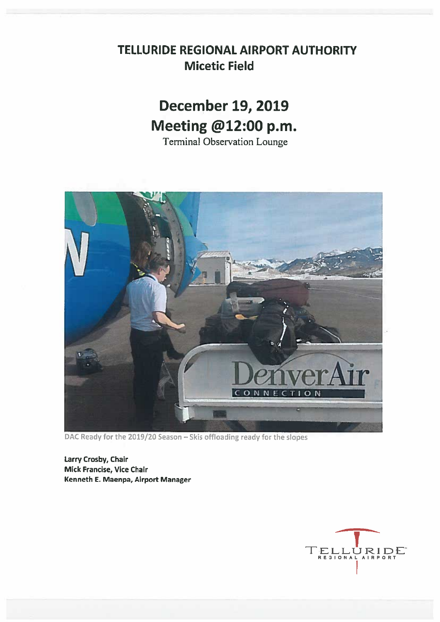## TELLURIDE REGIONAL AIRPORT AUTHORITY **Micetic Field**

# **December 19, 2019** Meeting @12:00 p.m.

**Terminal Observation Lounge** 



DAC Ready for the 2019/20 Season - Skis offloading ready for the slopes

Larry Crosby, Chair Mick Francise, Vice Chair Kenneth E. Maenpa, Airport Manager

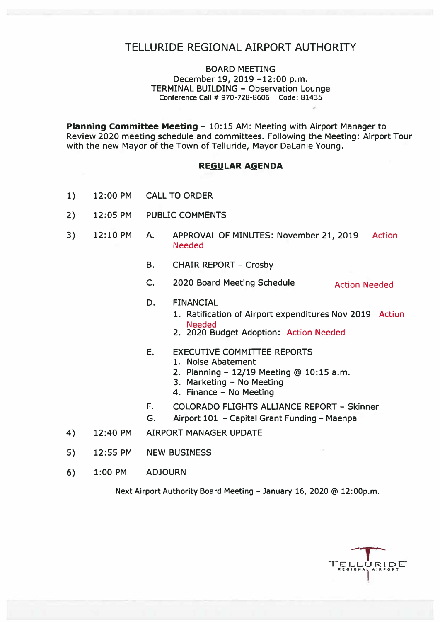## TELLURIDE REGIONAL AIRPORT AUTHORITY

#### BOARD MEETING December 19, 2019 -12:00 p.m. TERMINAL BUILDING - Observation Lounge **Conference Call** # **970-728-8606 Code: 81435**

**Planning Committee Meeting - 10:15 AM: Meeting with Airport Manager to** Review 2020 meeting schedule and committees. Following the Meeting: Airport Tour with the new Mayor of the Town of Telluride, Mayor DaLanie Young.

#### **REGULAR AGENDA**

- 1) 12:00 PM CALL TO ORDER
- 2) 12:05 PM PUBLIC COMMENTS
- 3) 12: 10 PM A. APPROVAL OF MINUTES: November 21, 2019 Action Needed
	- B. CHAIR REPORT Crosby
	- C. 2020 Board Meeting Schedule Action Needed

#### D. FINANCIAL

- 1. Ratification of Airport expenditures Nov 2019 Action Needed
- 2. 2020 Budget Adoption: Action Needed
- E. EXECUTIVE COMMITTEE REPORTS
	- 1. Noise Abatement
	- 2. Planning 12/19 Meeting @ 10:15 a.m.
	- 3. Marketing No Meeting
	- 4. Finance No Meeting
- F. COLORADO FLIGHTS ALLIANCE REPORT Skinner
- G. Airport 101 Capital Grant Funding Maenpa
- 4) 12:40 PM AIRPORT MANAGER UPDATE
- 5) 12:55 PM NEW BUSINESS
- 6) 1:00 PM ADJOURN

Next Airport Authority Board Meeting - January 16, 2020 @ 12:00p.m.

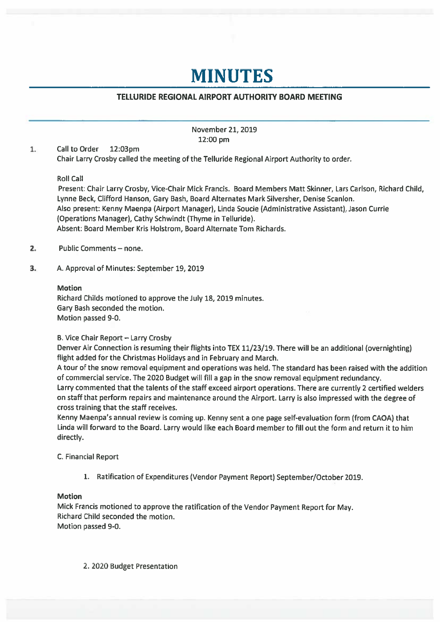## **MINUTES**

### TELLURIDE REGIONAL AIRPORT AUTHORITY BOARD MEETING

November 21, 2019 12:00 pm

 $1.$ **Call to Order** 12:03pm Chair Larry Crosby called the meeting of the Telluride Regional Airport Authority to order.

#### **Roll Call**

Present: Chair Larry Crosby, Vice-Chair Mick Francis. Board Members Matt Skinner, Lars Carlson, Richard Child, Lynne Beck, Clifford Hanson, Gary Bash, Board Alternates Mark Silversher, Denise Scanlon. Also present: Kenny Maenpa (Airport Manager), Linda Soucie (Administrative Assistant), Jason Currie (Operations Manager), Cathy Schwindt (Thyme in Telluride). Absent: Board Member Kris Holstrom, Board Alternate Tom Richards.

- $2.$ Public Comments - none.
- $3.$ A. Approval of Minutes: September 19, 2019

#### **Motion**

Richard Childs motioned to approve the July 18, 2019 minutes. Gary Bash seconded the motion. Motion passed 9-0.

#### B. Vice Chair Report - Larry Crosby

Denver Air Connection is resuming their flights into TEX 11/23/19. There will be an additional (overnighting) flight added for the Christmas Holidays and in February and March.

A tour of the snow removal equipment and operations was held. The standard has been raised with the addition of commercial service. The 2020 Budget will fill a gap in the snow removal equipment redundancy. Larry commented that the talents of the staff exceed airport operations. There are currently 2 certified welders on staff that perform repairs and maintenance around the Airport. Larry is also impressed with the degree of cross training that the staff receives.

Kenny Maenpa's annual review is coming up. Kenny sent a one page self-evaluation form (from CAOA) that Linda will forward to the Board. Larry would like each Board member to fill out the form and return it to him directly.

#### C. Financial Report

1. Ratification of Expenditures (Vendor Payment Report) September/October 2019.

#### **Motion**

Mick Francis motioned to approve the ratification of the Vendor Payment Report for May. Richard Child seconded the motion. Motion passed 9-0.

2. 2020 Budget Presentation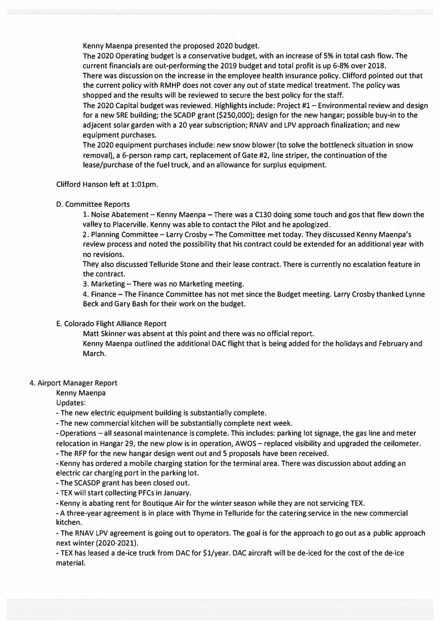**Kenny Maenpa presented the proposed 2020 budget.** 

**The 2020 Operating budget is a conservative budget, with an increase of 5% in total cash flow. The current financials are out-performing the 2019 budget and total profit is up 6-8% over 2018. There was discussion on the increase in the employee health insurance policy. Clifford pointed out that the current policy with RMHP does not cover any out of state medical treatment. The policy was shopped and the results will be reviewed to secure the best policy for the staff.** 

**The 2020 Capital budget was reviewed. Highlights include: Project #1- Environmental review and design for a new SRE building; the SCADP grant (\$250,000); design for the new hangar; possible buy-in to the adjacent solar garden with a 20 year subscription; RNAV and LPV approach finalization; and new equipment purchases.** 

**The 2020 equipment purchases include: new snow blower (to solve the bottleneck situation in snow removal), a 6-person ramp cart, replacement of Gate #2, line striper, the continuation of the lease/purchase of the fuel truck, and an allowance for surplus equipment.** 

**Clifford Hanson left at 1:01pm.** 

**D. Committee Reports**

**1. Noise Abatement - Kenny Maenpa -There was a C130 doing some touch and gos that flew down the valley to Placerville. Kenny was able to contact the Pilot and he apologized.**

**2. Planning Committee- Larry Crosby-The Committee met today. They discussed Kenny Maenpa's review process and noted the possibility that his contract could be extended for an additional year with no revisions.**

**They also discussed Telluride Stone and their lease contract. There is currently no escalation feature in the contract.**

**3. Marketing - There was no Marketing meeting.**

**4. Finance -The Finance Committee has not met since the Budget meeting. Larry Crosby thanked Lynne Beck and Gary Bash for their work on the budget.**

**E. Colorado Flight Alliance Report**

**Matt Skinner was absent at this point and there was no official report.** 

**Kenny Maenpa outlined the additional DAC flight that is being added for the holidays and February and March.** 

#### **4. Airport Manager Report**

**Kenny Maenpa** 

**Updates:** 

**- The new electric equipment building is substantially complete.**

**- The new commercial kitchen will be substantially complete next week.**

**- Operations - all seasonal maintenance is complete. This includes: parking lot signage, the gas line and meter relocation in Hangar 29, the new plow is in operation, AWOS - replaced visibility and upgraded the ceilometer.**

**- The RFP for the new hangar design went out and 5 proposals have been received.**

**- Kenny has ordered a mobile charging station for the terminal area. There was discussion about adding an electric car charging port in the parking lot.**

**- The SCASDP grant has been closed out.**

**- TEX will start collecting PFCs in January.**

**- Kenny is abating rent for Boutique Air for the winter season while they are not servicing TEX.**

**- A three-year agreement is in place with Thyme inTelluride for the catering service in the new commercial kitchen.**

**- The RNAV LPV agreement is going out to operators. The goal is for the approach to go out as a public approach next winter (2020-2021).**

**- TEX has leased a de-ice truck from DAC for \$1/year. DAC aircraft will be de-iced for the cost of the de-ice material.**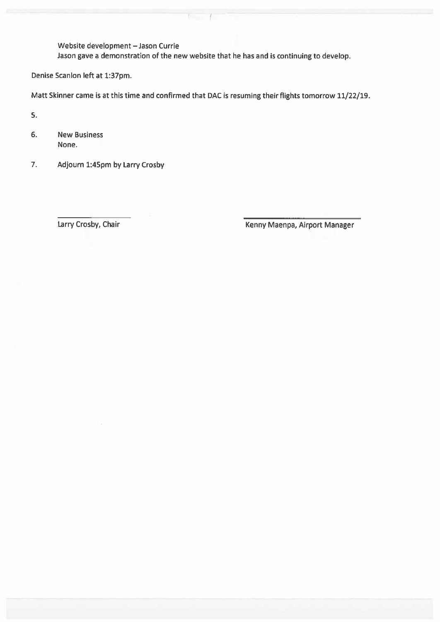Website development - Jason Currie Jason gave a demonstration of the new website that he has and is continuing to develop.

 $\sqrt{1}$ 

Denise Scanlon left at 1:37pm.

Matt Skinner came is at this time and confirmed that DAC is resuming their flights tomorrow 11/22/19.

5.

- $6.$ **New Business** None.
- $7.$ Adjourn 1:45pm by Larry Crosby

Larry Crosby, Chair

Kenny Maenpa, Airport Manager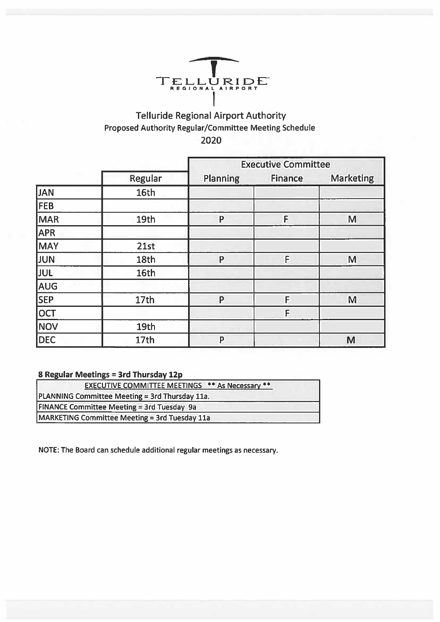

## Telluride Regional Airport Authority Proposed Authority Regular/Committee Meeting Schedule 2020

|                 |         | <b>Executive Committee</b> |                |                  |  |  |
|-----------------|---------|----------------------------|----------------|------------------|--|--|
|                 | Regular | <b>Planning</b>            | <b>Finance</b> | <b>Marketing</b> |  |  |
| <b>JAN</b>      | 16th    |                            |                |                  |  |  |
| <b>FEB</b>      |         |                            |                |                  |  |  |
| MAR <sup></sup> | 19th    | P                          | F              | M                |  |  |
| <b>APR</b>      |         |                            |                |                  |  |  |
| MAY             | 21st    |                            |                |                  |  |  |
| <b>JUN</b>      | 18th    | P                          | F              | M                |  |  |
| <b>JUL</b>      | 16th    |                            |                |                  |  |  |
| AUG             |         |                            |                |                  |  |  |
| SEP             | 17th    | P                          | F              | M                |  |  |
| OCT             |         |                            | F              |                  |  |  |
| NOV             | 19th    |                            |                |                  |  |  |
| <b>DEC</b>      | 17th    | P                          |                | M                |  |  |

### 8 Regular Meetings = 3rd Thursday 12p

| <b>EXECUTIVE COMMITTEE MEETINGS ** As Necessary **</b> |  |
|--------------------------------------------------------|--|
| PLANNING Committee Meeting = 3rd Thursday 11a.         |  |
| <b>FINANCE Committee Meeting = 3rd Tuesday 9a</b>      |  |
| MARKETING Committee Meeting = 3rd Tuesday 11a          |  |

NOTE: The Board can schedule additional regular meetings as necessary.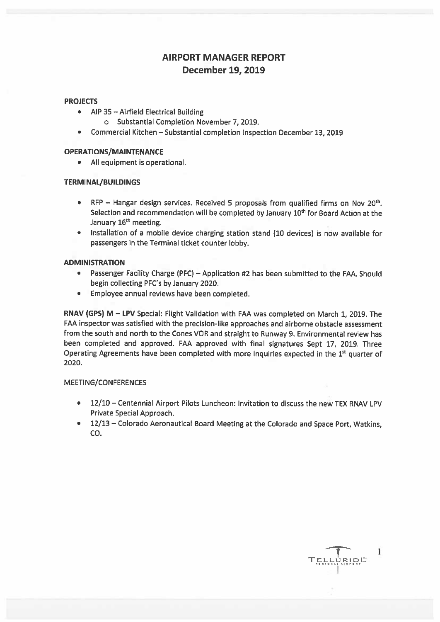## **AIRPORT MANAGER REPORT December 19, 2019**

#### **PROJECTS**

- AIP 35 Airfield Electrical Building
	- o Substantial Completion November 7, 2019.
- $\bullet$ Commercial Kitchen - Substantial completion Inspection December 13, 2019

#### **OPERATIONS/MAINTENANCE**

• All equipment is operational.

#### **TERMINAL/BUILDINGS**

- RFP Hangar design services. Received 5 proposals from qualified firms on Nov 20<sup>th</sup>. Selection and recommendation will be completed by January 10<sup>th</sup> for Board Action at the January 16<sup>th</sup> meeting.
- Installation of a mobile device charging station stand (10 devices) is now available for  $\bullet$ passengers in the Terminal ticket counter lobby.

#### **ADMINISTRATION**

- Passenger Facility Charge (PFC) Application #2 has been submitted to the FAA. Should begin collecting PFC's by January 2020.
- Employee annual reviews have been completed.  $\bullet$

RNAV (GPS) M - LPV Special: Flight Validation with FAA was completed on March 1, 2019. The FAA inspector was satisfied with the precision-like approaches and airborne obstacle assessment from the south and north to the Cones VOR and straight to Runway 9. Environmental review has been completed and approved. FAA approved with final signatures Sept 17, 2019. Three Operating Agreements have been completed with more inquiries expected in the 1st quarter of 2020.

#### **MEETING/CONFERENCES**

- 12/10 Centennial Airport Pilots Luncheon: Invitation to discuss the new TEX RNAV LPV Private Special Approach.
- 12/13 Colorado Aeronautical Board Meeting at the Colorado and Space Port, Watkins,  $CO.$

1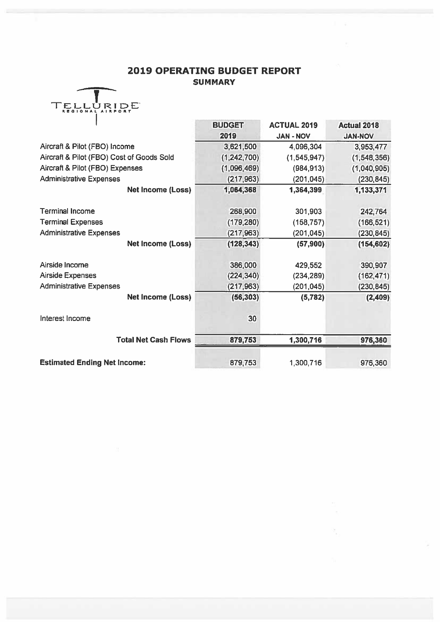## **2019 OPERATING BUDGET REPORT SUMMARY**

**COMPANIES** 

| ELLURIDE<br>REGIONAL AIRPORT |
|------------------------------|
|                              |
|                              |

|                                           | BUDGET      | <b>ACTUAL 2019</b> | <b>Actual 2018</b> |
|-------------------------------------------|-------------|--------------------|--------------------|
|                                           | 2019        | <b>JAN - NOV</b>   | <b>JAN-NOV</b>     |
| Aircraft & Pilot (FBO) Income             | 3,621,500   | 4,096,304          | 3,953,477          |
| Aircraft & Pilot (FBO) Cost of Goods Sold | (1,242,700) | (1, 545, 947)      | (1,548,356)        |
| Aircraft & Pilot (FBO) Expenses           | (1,096,469) | (984, 913)         | (1,040,905)        |
| <b>Administrative Expenses</b>            | (217, 963)  | (201, 045)         | (230, 845)         |
| <b>Net Income (Loss)</b>                  | 1,064,368   | 1,364,399          | 1,133,371          |
| <b>Terminal Income</b>                    | 268,900     | 301,903            | 242,764            |
| <b>Terminal Expenses</b>                  | (179, 280)  | (158, 757)         | (166, 521)         |
| <b>Administrative Expenses</b>            | (217,963)   | (201, 045)         | (230, 845)         |
| Net Income (Loss)                         | (128, 343)  | (57,900)           | (154, 602)         |
| Airside Income                            | 386,000     | 429,552            | 390,907            |
| <b>Airside Expenses</b>                   | (224, 340)  | (234, 289)         | (162, 471)         |
| <b>Administrative Expenses</b>            | (217,963)   | (201, 045)         | (230, 845)         |
| Net Income (Loss)                         | (56, 303)   | (5, 782)           | (2,409)            |
| Interest Income                           | 30          |                    |                    |
| <b>Total Net Cash Flows</b>               | 879,753     | 1,300,716          | 976,360            |
| <b>Estimated Ending Net Income:</b>       | 879,753     | 1,300,716          | 976,360            |

ĕ,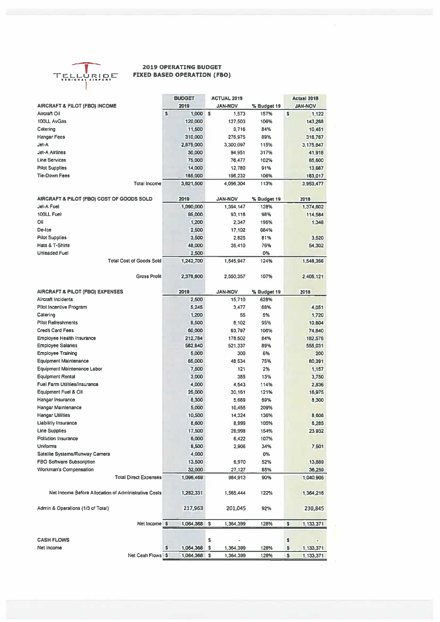

#### **2019 OPERATING BUDGET FIXED BASED OPERATION (FBO)**

|                                                      | <b>BUDGET</b>   |    | <b>ACTUAL 2019</b> |             |              | <b>Actual 2018</b> |
|------------------------------------------------------|-----------------|----|--------------------|-------------|--------------|--------------------|
| AIRCRAFT & PILOT (FBO) INCOME                        | 2019            |    | <b>JAN-NOV</b>     | % Budget 19 |              | <b>JAN-NOV</b>     |
| Aircraft Oil                                         | \$<br>1,000     | s  | 1,573              | 157%        | $\mathsf{s}$ | 1.122              |
| 100LL AvGas                                          | 120,000         |    | 127,503            | 106%        |              | 143,288            |
| Catering                                             | 11,500          |    | 9,716              | 84%         |              | 10,451             |
| <b>Hangar Fees</b>                                   | 310,000         |    | 276.975            | 89%         |              | 318,767            |
| Jet-A                                                | 2,875,000       |    | 3,300,097          | 115%        |              | 3,175,647          |
| Jet-A Airlines                                       | 30,000          |    | 94,951             | 317%        |              | 41,918             |
| <b>Line Services</b>                                 | 75,000          |    | 76,477             | 102%        |              | 65,600             |
|                                                      |                 |    |                    |             |              |                    |
| <b>Pilot Supplies</b><br><b>Tie-Down Fees</b>        | 14,000          |    | 12,780             | 91%         |              | 13,667             |
|                                                      | 185,000         |    | 196,232            | 106%        |              | 183,017            |
| <b>Total Income</b>                                  | 3,621,500       |    | 4,096,304          | 113%        |              | 3,953,477          |
| AIRCRAFT & PILOT (FBO) COST OF GOODS SOLD            | 2019            |    | <b>JAN-NOV</b>     | % Budget 19 |              | 2018               |
| Jet-A Fuel                                           | 1,090,000       |    | 1,394,147          | 128%        |              | 1,374,602          |
| 100LL Fuel                                           | 95,000          |    | 93,116             | 98%         |              | 114,584            |
| Oil                                                  | 1,200           |    | 2,347              | 196%        |              | 1,348              |
| De-Ice                                               | 2,500           |    | 17,102             | 684%        |              |                    |
|                                                      |                 |    |                    | 81%         |              |                    |
| <b>Pilot Supplies</b><br>Hats & T-Shirts             | 3,500           |    | 2,825              |             |              | 3,520              |
|                                                      | 48,000          |    | 36.410             | 76%         |              | 54,302             |
| <b>Unleaded Fuel</b>                                 | 2,500           |    |                    | 0%          |              |                    |
| <b>Total Cost of Goods Sold</b>                      | 1,242,700       |    | 1,545,947          | 124%        |              | 1,548,356          |
| <b>Gross Profit</b>                                  | 2,378,600       |    | 2,550,357          | 107%        |              | 2,405,121          |
| <b>AIRCRAFT &amp; PILOT (FBO) EXPENSES</b>           | 2019            |    | <b>JAN-NOV</b>     | % Budget 19 |              | 2018               |
| Aircraft Incidents                                   | 2,500           |    | 15,710             | 628%        |              |                    |
| Pilot Incentive Program                              | 5,245           |    | 3,477              | 66%         |              | 4,051              |
| Catering                                             | 1,200           |    | 55                 | 5%          |              | 1,720              |
| <b>Pilot Refreshments</b>                            | <b>B,500</b>    |    | 8,102              | 95%         |              | 10,804             |
| <b>Credit Card Fees</b>                              | 60,000          |    | 63,797             | 106%        |              | 74,640             |
| Employee Health Insurance                            | 212,784         |    | 178,502            | 84%         |              | 182,576            |
| <b>Employee Salaries</b>                             | 582,840         |    | 521.337            | 89%         |              | 555,031            |
| <b>Employee Training</b>                             | 5,000           |    | 300                | 6%          |              | 200                |
|                                                      |                 |    |                    |             |              |                    |
| <b>Equipment Maintenance</b>                         | 65,000          |    | 48.534             | 75%         |              | 80,391             |
| <b>Equipment Maintenance Labor</b>                   | 7,500           |    | 121                | 2%          |              | 1,157              |
| <b>Equipment Rental</b>                              | 3,000           |    | 385                | 13%         |              | 3,750              |
| Fuel Farm Utilities/Insurance                        | 4,000           |    | 4.543              | 114%        |              | 2,836              |
| Equipment Fuel & OII                                 | 25,000          |    | 30,161             | 121%        |              | 16,975             |
| Hangar Insurance                                     | 8,300           |    | 5,689              | 69%         |              | 8,300              |
| <b>Hangar Maintenance</b>                            | 5,000           |    | 10,455             | 209%        |              |                    |
| <b>Hangar Utilities</b>                              | 10,500          |    | 14,324             | 136%        |              | 8,608              |
| Liabilitiy Insurance                                 | 8,600           |    | 8,999              | 105%        |              | 8,285              |
| <b>Line Supplies</b>                                 | 17,500          |    | 26,998             | 154%        |              | 23 932             |
| Pollution Insurance                                  | 6,000           |    | 6,422              | 107%        |              |                    |
| <b>Uniforms</b>                                      | 8,500           |    | 2,906              | 34%         |              | 7.501              |
| Satelite Systems/Runway Camera                       | 4,000           |    |                    | 0%          |              |                    |
| FBO Software Subscription                            | 13,500          |    | 6,970              | 52%         |              | 13,889             |
| Workman's Compensation                               | 32,000          |    |                    | 85%         |              | 36,259             |
|                                                      |                 |    | 27,127             |             |              |                    |
| <b>Total Direct Expenses</b>                         | 1,096,469       |    | 984,913            | 90%         |              | 1,040,905          |
| Net Income Before Allocation of Administrative Costs | 1,282,331       |    | 1,565,444          | 122%        |              | 1,364,216          |
| Admin & Operations (1/3 of Total)                    | 217,963         |    | 201,045            | 92%         |              | 230,845            |
| Net Income \$                                        | 1,064,368       | \$ | 1,364,399          | 128%        | s            | 1,133,371          |
|                                                      |                 |    |                    |             |              |                    |
| <b>CASH FLOWS</b>                                    |                 | \$ |                    |             | \$           | ٠                  |
| Net Income                                           | \$<br>1,064,368 | \$ | 1,364,399          | 128%        | \$           | 1,133,371          |
| Net Cash Flows <sup>5</sup>                          | 1,064,368       | s  | 1,364,399          | 128%        | \$           | 1,133,371          |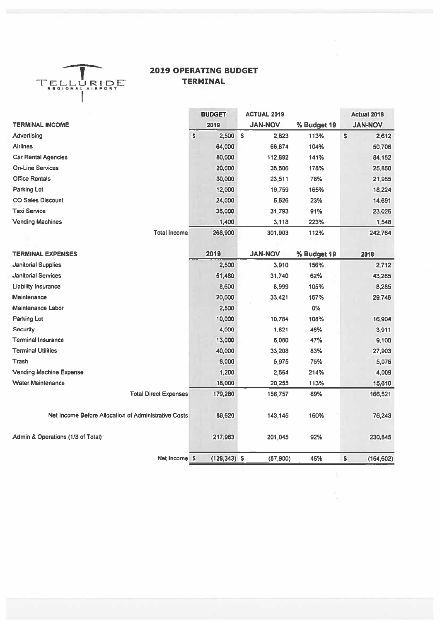

## **2019 OPERATING BUDGET TERMINAL**

|                                                      | <b>BUDGET</b>   | <b>ACTUAL 2019</b> |             | Actual 2018      |
|------------------------------------------------------|-----------------|--------------------|-------------|------------------|
| <b>TERMINAL INCOME</b>                               | 2019            | <b>JAN-NOV</b>     | % Budget 19 | <b>JAN-NOV</b>   |
| Advertising                                          | S<br>2,500      | S<br>2,823         | 113%        | \$<br>2,612      |
| <b>Airlines</b>                                      | 64,000          | 66,874             | 104%        | 50,706           |
| <b>Car Rental Agencies</b>                           | 80,000          | 112,892            | 141%        | 84,152           |
| <b>On-Line Services</b>                              | 20,000          | 35,506             | 178%        | 25,850           |
| <b>Office Rentals</b>                                | 30,000          | 23,511             | 78%         | 21,955           |
| Parking Lot                                          | 12,000          | 19,759             | 165%        | 18,224           |
| <b>CO Sales Discount</b>                             | 24,000          | 5,626              | 23%         | 14,691           |
| <b>Taxi Service</b>                                  | 35,000          | 31,793             | 91%         | 23,026           |
| <b>Vending Machines</b>                              | 1,400           | 3,118              | 223%        | 1,548            |
| <b>Total Income</b>                                  | 268,900         | 301,903            | 112%        | 242,764          |
| <b>TERMINAL EXPENSES</b>                             | 2019            | <b>JAN-NOV</b>     | % Budget 19 | 2018             |
| <b>Janitorial Supplies</b>                           | 2,500           | 3,910              | 156%        | 2,712            |
| <b>Janitorial Services</b>                           | 51,480          | 31,740             | 62%         | 43,265           |
| <b>Liability Insurance</b>                           | 8,600           | 8,999              | 105%        | 8,285            |
| Maintenance                                          | 20,000          | 33,421             | 167%        | 29,746           |
| Maintenance Labor                                    | 2,500           |                    | 0%          |                  |
| Parking Lot                                          | 10,000          | 10,784             | 108%        | 16,904           |
| <b>Security</b>                                      | 4,000           | 1,821              | 46%         | 3,911            |
| <b>Terminal Insurance</b>                            | 13,000          | 6,080              | 47%         | 9,100            |
| <b>Terminal Utilities</b>                            | 40,000          | 33,208             | 83%         | 27,903           |
| Trash                                                | 8,000           | 5,975              | 75%         | 5,076            |
| <b>Vending Machine Expense</b>                       | 1,200           | 2,564              | 214%        | 4,009            |
| <b>Water Maintenance</b>                             | 18,000          | 20,255             | 113%        | 15,610           |
| <b>Total Direct Expenses</b>                         | 179,280         | 158,757            | 89%         | 166,521          |
| Net Income Before Allocation of Administrative Costs | 89,620          | 143,145            | 160%        | 76,243           |
| Admin & Operations (1/3 of Total)                    | 217,963         | 201,045            | 92%         | 230,845          |
| Net Income \$                                        | $(128, 343)$ \$ | (57, 900)          | 45%         | \$<br>(154, 602) |

R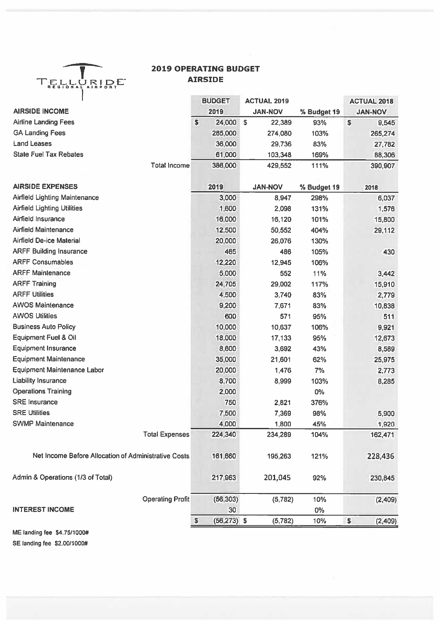

### **2019 OPERATING BUDGET AIRSIDE**

|                                                      | <b>BUDGET</b>        | <b>ACTUAL 2019</b> |             | <b>ACTUAL 2018</b> |
|------------------------------------------------------|----------------------|--------------------|-------------|--------------------|
| <b>AIRSIDE INCOME</b>                                | 2019                 | <b>JAN-NOV</b>     | % Budget 19 | <b>JAN-NOV</b>     |
| <b>Airline Landing Fees</b>                          | \$<br>24,000         | \$<br>22,389       | 93%         | \$<br>9,545        |
| <b>GA Landing Fees</b>                               | 265,000              | 274,080            | 103%        | 265,274            |
| <b>Land Leases</b>                                   | 36,000               | 29,736             | 83%         | 27,782             |
| <b>State Fuel Tax Rebates</b>                        | 61,000               | 103,348            | 169%        | 88,306             |
| <b>Total Income</b>                                  | 386,000              | 429,552            | 111%        | 390,907            |
| <b>AIRSIDE EXPENSES</b>                              | 2019                 | <b>JAN-NOV</b>     | % Budget 19 | 2018               |
| <b>Airfield Lighting Maintenance</b>                 | 3,000                | 8,947              | 298%        | 6,037              |
| <b>Airfield Lighting Utilities</b>                   | 1,600                | 2,098              | 131%        | 1,576              |
| Airfield Insurance                                   | 16,000               | 16,120             | 101%        | 15,800             |
| <b>Airfield Maintenance</b>                          | 12,500               | 50,552             | 404%        | 29,112             |
| Airfield De-ice Material                             | 20,000               | 26,076             | 130%        |                    |
| <b>ARFF Building Insurance</b>                       | 465                  | 486                | 105%        | 430                |
| <b>ARFF Consumables</b>                              | 12,220               | 12,945             | 106%        |                    |
| <b>ARFF Maintenance</b>                              | 5,000                | 552                | 11%         | 3,442              |
| <b>ARFF Training</b>                                 | 24,705               | 29,002             | 117%        | 15,910             |
| <b>ARFF Utilities</b>                                | 4,500                | 3,740              | 83%         | 2,779              |
| <b>AWOS Maintenance</b>                              | 9,200                | 7,671              | 83%         | 10,838             |
| <b>AWOS Utilities</b>                                | 600                  | 571                | 95%         | 511                |
| <b>Business Auto Policy</b>                          | 10,000               | 10,637             | 106%        | 9,921              |
| Equipment Fuel & Oil                                 | 18,000               | 17,133             | 95%         | 12,673             |
| <b>Equipment Insurance</b>                           | 8,600                | 3,692              | 43%         | 8,589              |
| <b>Equipment Maintenance</b>                         | 35,000               | 21,601             | 62%         | 25,975             |
| <b>Equipment Maintenance Labor</b>                   | 20,000               | 1,476              | 7%          | 2,773              |
| <b>Liability Insurance</b>                           | 8,700                | 8,999              | 103%        | 8,285              |
| <b>Operations Training</b>                           | 2,000                |                    | 0%          |                    |
| <b>SRE</b> Insurance                                 | 750                  | 2,821              | 376%        |                    |
| <b>SRE Utilities</b>                                 | 7,500                | 7,369              | 98%         | 5,900              |
| <b>SWMP Maintenance</b>                              | 4,000                | 1,800              | 45%         | 1,920              |
| <b>Total Expenses</b>                                | 224,340              | 234,289            | 104%        | 162,471            |
| Net Income Before Allocation of Administrative Costs | 161,660              | 195,263            | 121%        | 228,436            |
| Admin & Operations (1/3 of Total)                    | 217,963              | 201,045            | 92%         | 230,845            |
| <b>Operating Profit</b>                              | (56, 303)            | (5, 782)           | 10%         | (2,409)            |
| <b>INTEREST INCOME</b>                               | 30                   |                    | $0\%$       |                    |
|                                                      | \$<br>$(56, 273)$ \$ | (5,782)            | 10%         | \$<br>(2,409)      |

ME landing fee \$4.75/1000# SE landing fee \$2.00/1000#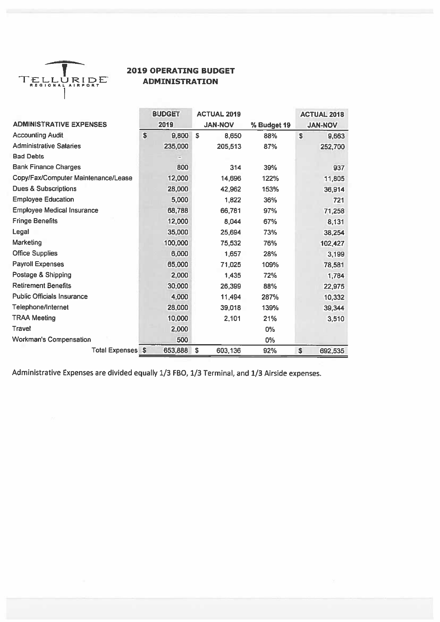

### **2019 OPERATING BUDGET ADMINISTRATION**

|                                     | <b>BUDGET</b>                | <b>ACTUAL 2019</b> |             | <b>ACTUAL 2018</b> |
|-------------------------------------|------------------------------|--------------------|-------------|--------------------|
| <b>ADMINISTRATIVE EXPENSES</b>      | 2019                         | <b>JAN-NOV</b>     | % Budget 19 | <b>JAN-NOV</b>     |
| <b>Accounting Audit</b>             | \$<br>9,800                  | \$<br>8,650        | 88%         | \$<br>9,663        |
| <b>Administrative Salaries</b>      | 235,000                      | 205,513            | 87%         | 252,700            |
| <b>Bad Debts</b>                    | $\qquad \qquad \blacksquare$ |                    |             |                    |
| <b>Bank Finance Charges</b>         | 800                          | 314                | 39%         | 937                |
| Copy/Fax/Computer Maintenance/Lease | 12,000                       | 14,696             | 122%        | 11,805             |
| <b>Dues &amp; Subscriptions</b>     | 28,000                       | 42,962             | 153%        | 36,914             |
| <b>Employee Education</b>           | 5,000                        | 1,822              | 36%         | 721                |
| <b>Employee Medical Insurance</b>   | 68,788                       | 66,781             | 97%         | 71,258             |
| <b>Fringe Benefits</b>              | 12,000                       | 8,044              | 67%         | 8,131              |
| Legal                               | 35,000                       | 25,694             | 73%         | 38,254             |
| Marketing                           | 100,000                      | 75,532             | 76%         | 102,427            |
| <b>Office Supplies</b>              | 6,000                        | 1,657              | 28%         | 3,199              |
| <b>Payroll Expenses</b>             | 65,000                       | 71,025             | 109%        | 78,581             |
| Postage & Shipping                  | 2,000                        | 1,435              | 72%         | 1,784              |
| <b>Retirement Benefits</b>          | 30,000                       | 26,399             | 88%         | 22,975             |
| <b>Public Officials Insurance</b>   | 4,000                        | 11,494             | 287%        | 10,332             |
| Telephone/Internet                  | 28,000                       | 39,018             | 139%        | 39,344             |
| <b>TRAA Meeting</b>                 | 10,000                       | 2,101              | 21%         | 3,510              |
| Travel                              | 2,000                        |                    | $0\%$       |                    |
| <b>Workman's Compensation</b>       | 500                          |                    | 0%          |                    |
| <b>Total Expenses</b>               | \$<br>653,888                | \$<br>603,136      | 92%         | \$<br>692,535      |

Administrative Expenses are divided equally 1/3 FBO, 1/3 Terminal, and 1/3 Airside expenses.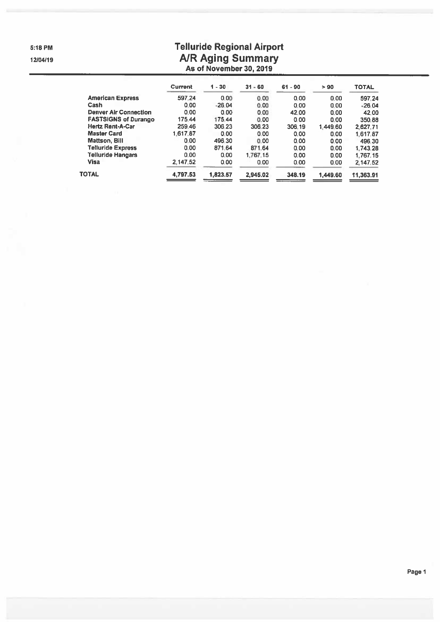5:18 PM

12/04/19

## **Telluride Regional Airport** A/R Aging Summary<br>As of November 30, 2019

|                              | <b>Current</b> | $1 - 30$ | $31 - 60$ | $61 - 90$ | > 90     | <b>TOTAL</b> |
|------------------------------|----------------|----------|-----------|-----------|----------|--------------|
| <b>American Express</b>      | 597.24         | 0.00     | 0.00      | 0.00      | 0.00     | 597.24       |
| Cash                         | 0.00           | $-26.04$ | 0.00      | 0.00      | 0.00     | $-26.04$     |
| <b>Denver Air Connection</b> | 0.00           | 0.00     | 0.00      | 42.00     | 0.00     | 42.00        |
| <b>FASTSIGNS of Durango</b>  | 175.44         | 175.44   | 0.00      | 0.00      | 0.00     | 350.88       |
| <b>Hertz Rent-A-Car</b>      | 259.46         | 306.23   | 306.23    | 306.19    | 1.449.60 | 2.627.71     |
| <b>Master Card</b>           | 1.617.87       | 0.00     | 0.00      | 0.00      | 0.00     | 1.617.87     |
| <b>Mattson, Bill</b>         | 0.00           | 496.30   | 0.00      | 0.00      | 0.00     | 496.30       |
| <b>Telluride Express</b>     | 0.00           | 871.64   | 871.64    | 0.00      | 0.00     | 1.743.28     |
| <b>Telluride Hangars</b>     | 0.00           | 0.00     | 1.767.15  | 0.00      | 0.00     | 1.767.15     |
| <b>Visa</b>                  | 2.147.52       | 0.00     | 0.00      | 0.00      | 0.00     | 2.147.52     |
| <b>TOTAL</b>                 | 4,797.53       | 1,823.57 | 2.945.02  | 348.19    | 1.449.60 | 11,363.91    |
|                              |                |          |           |           |          |              |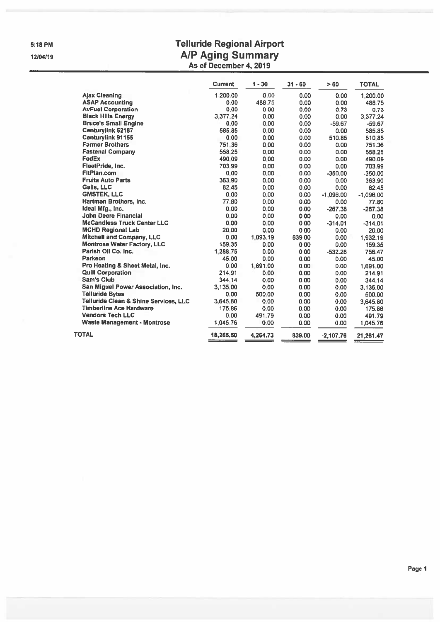5:18 PM

12/04/19

## **Telluride Regional Airport** A/P Aging Summary<br>As of December 4, 2019

|                                       | <b>Current</b> | $1 - 30$ | $31 - 60$ | >60         | <b>TOTAL</b> |
|---------------------------------------|----------------|----------|-----------|-------------|--------------|
| <b>Ajax Cleaning</b>                  | 1,200,00       | 0.00     | 0.00      | 0.00        | 1,200.00     |
| <b>ASAP Accounting</b>                | 0.00           | 488.75   | 0.00      | 0.00        | 488.75       |
| <b>AvFuel Corporation</b>             | 0.00           | 0.00     | 0.00      | 0.73        | 0.73         |
| <b>Black Hills Energy</b>             | 3,377,24       | 0.00     | 0.00      | 0.00        | 3,377.24     |
| <b>Bruce's Small Engine</b>           | 0.00           | 0.00     | 0.00      | $-59.67$    | $-59.67$     |
| Centurylink 52187                     | 585.85         | 0.00     | 0.00      | 0.00        | 585.85       |
| <b>Centurylink 91155</b>              | 0.00           | 0.00     | 0.00      | 510.85      | 510.85       |
| <b>Farmer Brothers</b>                | 751.36         | 0.00     | 0.00      | 0.00        | 751.36       |
| <b>Fastenal Company</b>               | 558.25         | 0.00     | 0.00      | 0.00        | 558.25       |
| FedEx                                 | 490.09         | 0.00     | 0.00      | 0.00        | 490.09       |
| FleetPride, Inc.                      | 703.99         | 0.00     | 0.00      | 0.00        | 703.99       |
| <b>FitPlan.com</b>                    | 0.00           | 0.00     | 0.00      | $-350.00$   | $-350.00$    |
| <b>Fruita Auto Parts</b>              | 363.90         | 0.00     | 0.00      | 0.00        | 363.90       |
| Galls, LLC                            | 82.45          | 0.00     | 0.00      | 0.00        | 82.45        |
| <b>GMSTEK, LLC</b>                    | 0.00           | 0.00     | 0.00      | $-1,096.00$ | $-1,096.00$  |
| Hartman Brothers, Inc.                | 77.80          | 0.00     | 0.00      | 0.00        | 77.80        |
| Ideal Mfg., Inc.                      | 0.00           | 0.00     | 0.00      | $-267.38$   | $-267.38$    |
| <b>John Deere Financial</b>           | 0.00           | 0.00     | 0.00      | 0.00        | 0.00         |
| <b>McCandless Truck Center LLC</b>    | 0.00           | 0.00     | 0.00      | $-314.01$   | $-314.01$    |
| <b>MCHD Regional Lab</b>              | 20.00          | 0.00     | 0.00      | 0.00        | 20.00        |
| Mitchell and Company, LLC             | 0.00           | 1.093.19 | 839.00    | 0.00        | 1,932.19     |
| <b>Montrose Water Factory, LLC</b>    | 159.35         | 0.00     | 0.00      | 0.00        | 159.35       |
| Parish Oil Co. Inc.                   | 1,288.75       | 0.00     | 0,00      | $-532.28$   | 756.47       |
| Parkeon                               | 45.00          | 0.00     | 0.00      | 0.00        | 45.00        |
| Pro Heating & Sheet Metal, Inc.       | 0.00           | 1.691.00 | 0.00      | 0.00        | 1,691.00     |
| <b>Quill Corporation</b>              | 214.91         | 0.00     | 0.00      | 0.00        | 214.91       |
| <b>Sam's Club</b>                     | 344.14         | 0.00     | 0.00      | 0.00        | 344.14       |
| San Miguel Power Association, Inc.    | 3.135.00       | 0.00     | 0.00      | 0.00        | 3,135.00     |
| <b>Telluride Bytes</b>                | 0.00           | 500.00   | 0.00      | 0.00        | 500.00       |
| Telluride Clean & Shine Services, LLC | 3,645.80       | 0.00     | 0.00      | 0.00        | 3,645.80     |
| <b>Timberline Ace Hardware</b>        | 175.86         | 0.00     | 0.00      | 0.00        | 175.86       |
| <b>Vendors Tech LLC</b>               | 0.00           | 491.79   | 0.00      | 0.00        | 491.79       |
| <b>Waste Management - Montrose</b>    | 1.045.76       | 0.00     | 0.00      | 0.00        | 1,045.76     |
| <b>TOTAL</b>                          | 18,265.50      | 4,264.73 | 839.00    | $-2,107.76$ | 21,261.47    |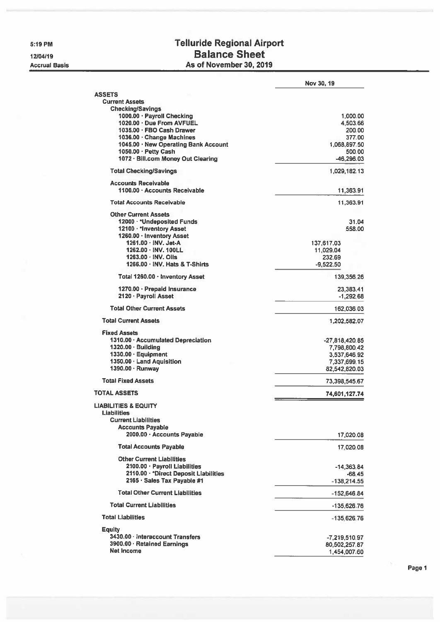5:19 PM

12/04/19 **Accrual Basis** 

## **Telluride Regional Airport Balance Sheet** As of November 30, 2019

|                                                                                     | Nov 30, 19              |
|-------------------------------------------------------------------------------------|-------------------------|
| <b>ASSETS</b>                                                                       |                         |
| <b>Current Assets</b><br><b>Checking/Savings</b>                                    |                         |
| 1000.00 · Payroll Checking                                                          | 1,000.00                |
| 1020.00 · Due From AVFUEL                                                           | 4,503.66                |
| 1035.00 · FBO Cash Drawer                                                           | 200.00                  |
| 1036.00 · Change Machines                                                           | 377.00                  |
| 1045.00 · New Operating Bank Account                                                | 1.068.897.50            |
| 1050.00 · Petty Cash                                                                | 500.00                  |
| 1072 · Bill.com Money Out Clearing                                                  | $-46,296.03$            |
| <b>Total Checking/Savings</b>                                                       | 1,029,182.13            |
| <b>Accounts Receivable</b>                                                          |                         |
| 1100.00 · Accounts Receivable                                                       | 11,363.91               |
| <b>Total Accounts Receivable</b>                                                    | 11,363.91               |
| <b>Other Current Assets</b>                                                         |                         |
| 12000 · *Undeposited Funds                                                          | 31.04                   |
| 12100 · * Inventory Asset                                                           | 558.00                  |
| 1260.00 · Inventory Asset<br>1261.00 NV. Jet-A                                      |                         |
| 1262.00 · INV. 100LL                                                                | 137,617.03<br>11,029.04 |
| $1263.00 \cdot INV$ . Oils                                                          | 232.69                  |
| 1266.00 · INV. Hats & T-Shirts                                                      | $-9.522.50$             |
| Total 1260.00 · Inventory Asset                                                     | 139,356.26              |
| 1270.00 · Prepaid Insurance                                                         | 23,383.41               |
| 2120 · Payroll Asset                                                                | $-1,292.68$             |
| <b>Total Other Current Assets</b>                                                   | 162,036.03              |
| <b>Total Current Assets</b>                                                         | 1,202,582.07            |
| <b>Fixed Assets</b>                                                                 |                         |
| 1310.00 · Accumulated Depreciation                                                  | $-27,818,420.85$        |
| 1320.00 · Building                                                                  | 7,798,800.42            |
| 1330.00 · Equipment                                                                 | 3,537,646.92            |
| 1350.00 · Land Aquisition                                                           | 7,337,699.15            |
| 1390.00 · Runway                                                                    | 82,542,820.03           |
| <b>Total Fixed Assets</b>                                                           | 73,398,545.67           |
| <b>TOTAL ASSETS</b>                                                                 | 74,601,127.74           |
| <b>LIABILITIES &amp; EQUITY</b><br><b>Liabilities</b><br><b>Current Liabilities</b> |                         |
| <b>Accounts Payable</b><br>2000.00 · Accounts Payable                               | 17,020.08               |
| <b>Total Accounts Payable</b>                                                       | 17.020.08               |
| <b>Other Current Liabilities</b>                                                    |                         |
| 2100.00 · Payroll Liabilities                                                       | -14,363.84              |
| 2110.00 · * Direct Deposit Liabilities                                              | $-68.45$                |
| 2165 · Sales Tax Payable #1                                                         | $-138,214.55$           |
| <b>Total Other Current Liabilities</b>                                              | -152,646.84             |
| <b>Total Current Liabilities</b>                                                    | $-135,626.76$           |
| <b>Total Liabilities</b>                                                            | -135,626.76             |
| Equity                                                                              |                         |
| 3430.00 · Interaccount Transfers                                                    | $-7,219,510.97$         |
| 3900.00 · Retained Earnings                                                         | 80,502,257.87           |
| <b>Net Income</b>                                                                   | 1,454,007.60            |

Page 1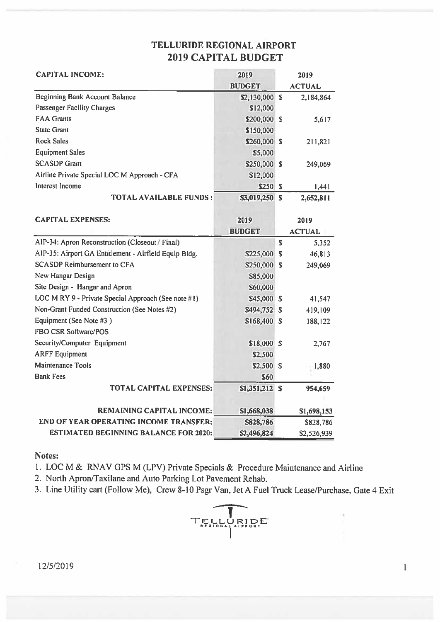## **TELLURIDE REGIONAL AIRPORT 2019 CAPITAL BUDGET**

| <b>CAPITAL INCOME:</b>                                | 2019           | 2019                   |  |  |
|-------------------------------------------------------|----------------|------------------------|--|--|
|                                                       | <b>BUDGET</b>  | <b>ACTUAL</b>          |  |  |
| <b>Beginning Bank Account Balance</b>                 | \$2,130,000 \$ | 2,184,864              |  |  |
| <b>Passenger Facility Charges</b>                     | \$12,000       |                        |  |  |
| <b>FAA Grants</b>                                     | \$200,000 \$   | 5,617                  |  |  |
| <b>State Grant</b>                                    | \$150,000      |                        |  |  |
| <b>Rock Sales</b>                                     | \$260,000 \$   | 211,821                |  |  |
| <b>Equipment Sales</b>                                | \$5,000        |                        |  |  |
| <b>SCASDP Grant</b>                                   | \$250,000 \$   | 249,069                |  |  |
| Airline Private Special LOC M Approach - CFA          | \$12,000       |                        |  |  |
| Interest Income                                       | \$250 \$       | 1,441                  |  |  |
| <b>TOTAL AVAILABLE FUNDS:</b>                         | \$3,019,250 S  | 2,652,811              |  |  |
| <b>CAPITAL EXPENSES:</b>                              | 2019           | 2019                   |  |  |
|                                                       | <b>BUDGET</b>  | <b>ACTUAL</b>          |  |  |
| AIP-34: Apron Reconstruction (Closeout / Final)       |                | S<br>5,352             |  |  |
| AIP-35: Airport GA Entitlement - Airfield Equip Bldg. | \$225,000      | $\mathbb{S}$<br>46,813 |  |  |
| <b>SCASDP Reimbursement to CFA</b>                    | \$250,000 \$   | 249,069                |  |  |
| New Hangar Design                                     | \$85,000       |                        |  |  |
| Site Design - Hangar and Apron                        | \$60,000       |                        |  |  |
| LOC M RY 9 - Private Special Approach (See note #1)   | \$45,000 \$    | 41,547                 |  |  |
| Non-Grant Funded Construction (See Notes #2)          | \$494,752 \$   | 419,109                |  |  |
| Equipment (See Note #3)                               | \$168,400 \$   | 188,122                |  |  |
| FBO CSR Software/POS                                  |                |                        |  |  |
| Security/Computer Equipment                           | \$18,000 S     | 2,767                  |  |  |
| <b>ARFF</b> Equipment                                 | \$2,500        |                        |  |  |
| <b>Maintenance Tools</b>                              | \$2,500 \$     | 1,880                  |  |  |
| <b>Bank Fees</b>                                      | \$60           |                        |  |  |
| <b>TOTAL CAPITAL EXPENSES:</b>                        | $$1,351,212$ S | 954,659                |  |  |
| <b>REMAINING CAPITAL INCOME:</b>                      | \$1,668,038    | \$1,698,153            |  |  |
| END OF YEAR OPERATING INCOME TRANSFER:                | \$828,786      | \$828,786              |  |  |
| <b>ESTIMATED BEGINNING BALANCE FOR 2020:</b>          | \$2,496,824    | \$2,526,939            |  |  |

#### Notes:

1. LOC M & RNAV GPS M (LPV) Private Specials & Procedure Maintenance and Airline

2. North Apron/Taxilane and Auto Parking Lot Pavement Rehab.

3. Line Utility cart (Follow Me), Crew 8-10 Psgr Van, Jet A Fuel Truck Lease/Purchase, Gate 4 Exit



 $\mathbf{I}$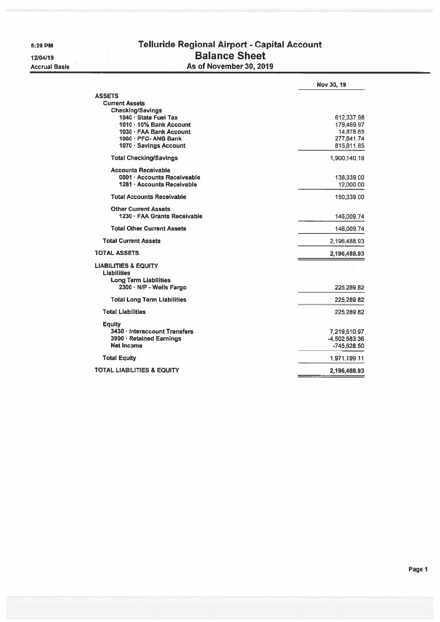5:29 PM

12/04/19 **Accrual Basis** 

## Telluride Regional Airport - Capital Account **Balance Sheet** As of November 30, 2019

|                                                           | Nov 30, 19    |
|-----------------------------------------------------------|---------------|
| <b>ASSETS</b>                                             |               |
| <b>Current Assets</b>                                     |               |
| <b>Checking/Savings</b>                                   |               |
| 1040 · State Fuel Tax                                     | 612,337.98    |
| 1010 · 10% Bank Account                                   | 179,469.97    |
| 1030 · FAA Bank Account                                   | 14,878.65     |
| $1060 \cdot PFC - ANB Bank$                               | 277,641.74    |
| 1070 · Savings Account                                    | 815,811.85    |
| <b>Total Checking/Savings</b>                             | 1,900,140.19  |
| <b>Accounts Receivable</b>                                |               |
| 0001 · Accounts Receiveable<br>1281 - Accounts Receivable | 138,339.00    |
|                                                           | 12,000.00     |
| <b>Total Accounts Receivable</b>                          | 150,339.00    |
| <b>Other Current Assets</b>                               |               |
| 1230 · FAA Grants Receivable                              | 146,009.74    |
| <b>Total Other Current Assets</b>                         | 146,009.74    |
| <b>Total Current Assets</b>                               | 2,196,488.93  |
| <b>TOTAL ASSETS</b>                                       | 2,196,488.93  |
| <b>LIABILITIES &amp; EQUITY</b>                           |               |
| <b>Liabilities</b>                                        |               |
| Long Term Liabilities                                     |               |
| 2300 · N/P - Wells Fargo                                  | 225,289.82    |
| <b>Total Long Term Liabilities</b>                        | 225,289.82    |
| <b>Total Liabilities</b>                                  | 225,289.82    |
| <b>Equity</b>                                             |               |
| 3430 · Interaccount Transfers                             | 7,219,510.97  |
| 3900 · Retained Earnings                                  | -4,502,683.36 |
| <b>Net Income</b>                                         | $-745,628.50$ |
| <b>Total Equity</b>                                       | 1,971,199.11  |
| TOTAL LIABILITIES & EQUITY                                | 2,196,488.93  |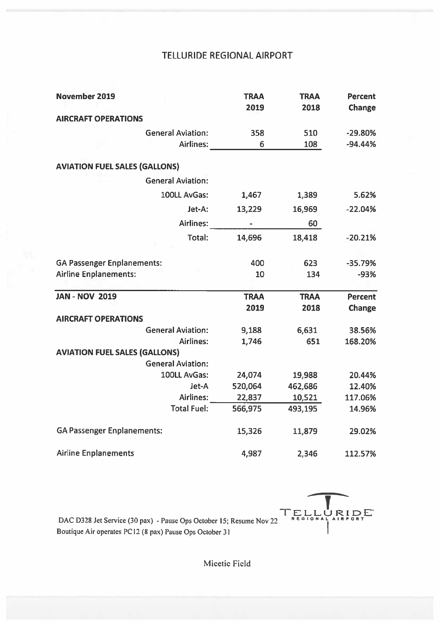## **TELLURIDE REGIONAL AIRPORT**

| November 2019                        | <b>TRAA</b> | <b>TRAA</b> | <b>Percent</b> |
|--------------------------------------|-------------|-------------|----------------|
|                                      | 2019        | 2018        | Change         |
| <b>AIRCRAFT OPERATIONS</b>           |             |             |                |
| <b>General Aviation:</b>             | 358         | 510         | $-29.80%$      |
| Airlines:                            | 6           | 108         | $-94.44%$      |
| <b>AVIATION FUEL SALES (GALLONS)</b> |             |             |                |
| <b>General Aviation:</b>             |             |             |                |
| 100LL AvGas:                         | 1,467       | 1,389       | 5.62%          |
| Jet-A:                               | 13,229      | 16,969      | $-22.04%$      |
| Airlines:                            |             | 60          |                |
| Total:                               | 14,696      | 18,418      | $-20.21%$      |
| <b>GA Passenger Enplanements:</b>    | 400         | 623         | $-35.79%$      |
| <b>Airline Enplanements:</b>         | 10          | 134         | $-93%$         |
| <b>JAN - NOV 2019</b>                | <b>TRAA</b> | <b>TRAA</b> | <b>Percent</b> |
|                                      | 2019        | 2018        | Change         |
| <b>AIRCRAFT OPERATIONS</b>           |             |             |                |
| <b>General Aviation:</b>             | 9,188       | 6,631       | 38.56%         |
| Airlines:                            | 1,746       | 651         | 168.20%        |
| <b>AVIATION FUEL SALES (GALLONS)</b> |             |             |                |
| <b>General Aviation:</b>             |             |             |                |
| 100LL AvGas:                         | 24,074      | 19,988      | 20.44%         |
| Jet-A                                | 520,064     | 462,686     | 12.40%         |
| Airlines:                            | 22,837      | 10,521      | 117.06%        |
| <b>Total Fuel:</b>                   | 566,975     | 493,195     | 14.96%         |
| <b>GA Passenger Enplanements:</b>    | 15,326      | 11,879      | 29.02%         |
| <b>Airline Enplanements</b>          | 4,987       | 2,346       | 112.57%        |

TELLURIDE

DAC D328 Jet Service (30 pax) - Pause Ops October 15; Resume Nov 22 Boutique Air operates PC12 (8 pax) Pause Ops October 31

Micetic Field